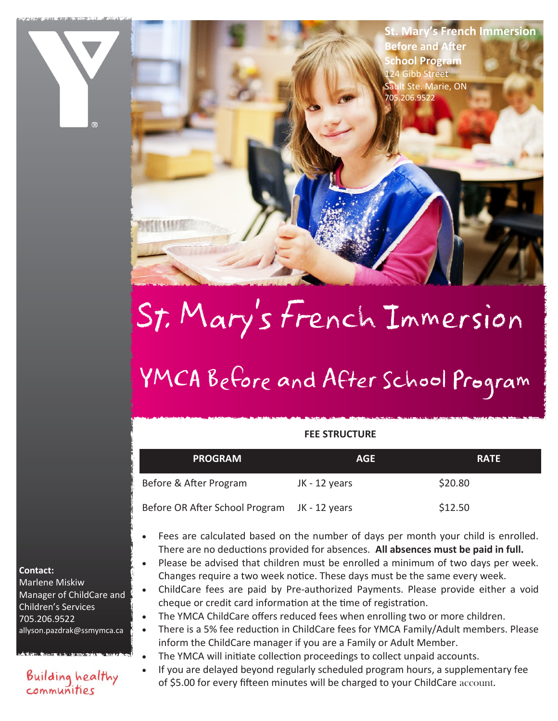**St. Mary's French Immersion Before and After School Program** 124 Gibb Street Sault Ste. Marie, ON 705.206.9522

# St. Mary's French Immersion

## YMCA Before and After School Program

#### **FEE STRUCTURE**

| <b>PROGRAM</b>                               | <b>AGE</b>    | <b>RATE</b> |
|----------------------------------------------|---------------|-------------|
| Before & After Program                       | JK - 12 years | \$20.80     |
| Before OR After School Program JK - 12 years |               | \$12.50     |

- Fees are calculated based on the number of days per month your child is enrolled. There are no deductions provided for absences. **All absences must be paid in full.**
- Please be advised that children must be enrolled a minimum of two days per week. Changes require a two week notice. These days must be the same every week.
- ChildCare fees are paid by Pre-authorized Payments. Please provide either a void cheque or credit card information at the time of registration.
- The YMCA ChildCare offers reduced fees when enrolling two or more children.
- There is a 5% fee reduction in ChildCare fees for YMCA Family/Adult members. Please inform the ChildCare manager if you are a Family or Adult Member.
- The YMCA will initiate collection proceedings to collect unpaid accounts.
- If you are delayed beyond regularly scheduled program hours, a supplementary fee of \$5.00 for every fifteen minutes will be charged to your ChildCare account.

#### **Contact:**

Marlene Miskiw Manager of ChildCare and Children's Services 705.206.9522 allyson.pazdrak@ssmymca.ca

#### **Building healthy** communities